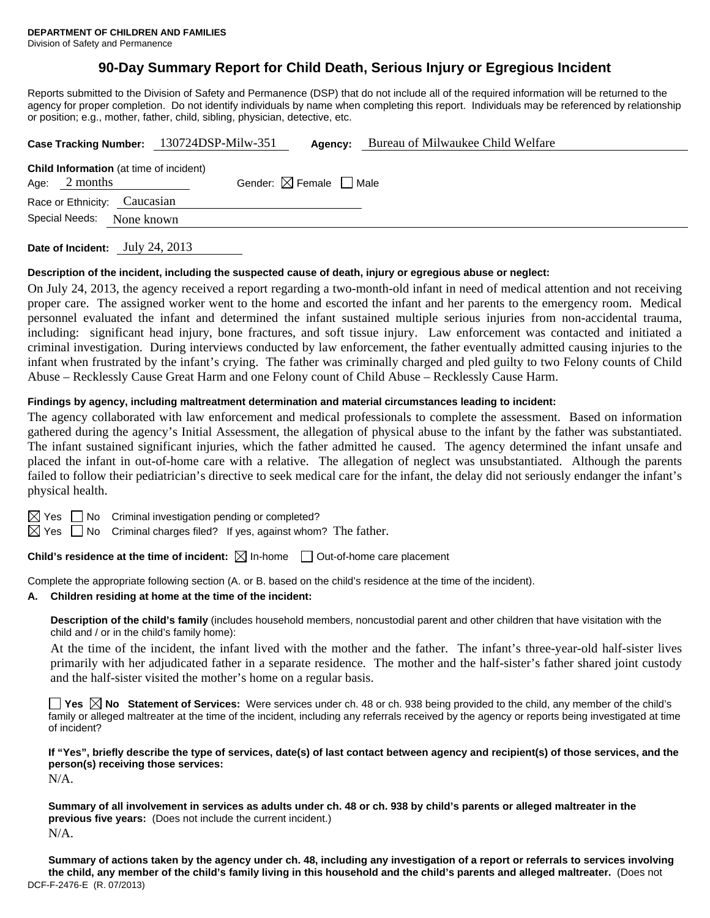# **90-Day Summary Report for Child Death, Serious Injury or Egregious Incident**

Reports submitted to the Division of Safety and Permanence (DSP) that do not include all of the required information will be returned to the agency for proper completion. Do not identify individuals by name when completing this report. Individuals may be referenced by relationship or position; e.g., mother, father, child, sibling, physician, detective, etc.

|                 |                                                | Case Tracking Number: 130724DSP-Milw-351 | Agency:                                | Bureau of Milwaukee Child Welfare |  |  |  |  |
|-----------------|------------------------------------------------|------------------------------------------|----------------------------------------|-----------------------------------|--|--|--|--|
| Age: $2$ months | <b>Child Information</b> (at time of incident) |                                          | Gender: $\boxtimes$ Female $\Box$ Male |                                   |  |  |  |  |
|                 | Race or Ethnicity: Caucasian                   |                                          |                                        |                                   |  |  |  |  |
| Special Needs:  | None known                                     |                                          |                                        |                                   |  |  |  |  |
|                 |                                                |                                          |                                        |                                   |  |  |  |  |

**Date of Incident:** July 24, 2013

#### **Description of the incident, including the suspected cause of death, injury or egregious abuse or neglect:**

On July 24, 2013, the agency received a report regarding a two-month-old infant in need of medical attention and not receiving proper care. The assigned worker went to the home and escorted the infant and her parents to the emergency room. Medical personnel evaluated the infant and determined the infant sustained multiple serious injuries from non-accidental trauma, including: significant head injury, bone fractures, and soft tissue injury. Law enforcement was contacted and initiated a criminal investigation. During interviews conducted by law enforcement, the father eventually admitted causing injuries to the infant when frustrated by the infant's crying. The father was criminally charged and pled guilty to two Felony counts of Child Abuse – Recklessly Cause Great Harm and one Felony count of Child Abuse – Recklessly Cause Harm.

### **Findings by agency, including maltreatment determination and material circumstances leading to incident:**

The agency collaborated with law enforcement and medical professionals to complete the assessment. Based on information gathered during the agency's Initial Assessment, the allegation of physical abuse to the infant by the father was substantiated. The infant sustained significant injuries, which the father admitted he caused. The agency determined the infant unsafe and placed the infant in out-of-home care with a relative. The allegation of neglect was unsubstantiated. Although the parents failed to follow their pediatrician's directive to seek medical care for the infant, the delay did not seriously endanger the infant's physical health.

 $\boxtimes$  Yes  $\Box$  No Criminal investigation pending or completed?

 $\boxtimes$  Yes  $\Box$  No Criminal charges filed? If yes, against whom? The father.

**Child's residence at the time of incident:**  $\boxtimes$  In-home  $\Box$  Out-of-home care placement

Complete the appropriate following section (A. or B. based on the child's residence at the time of the incident).

#### **A. Children residing at home at the time of the incident:**

**Description of the child's family** (includes household members, noncustodial parent and other children that have visitation with the child and / or in the child's family home):

 At the time of the incident, the infant lived with the mother and the father. The infant's three-year-old half-sister lives primarily with her adjudicated father in a separate residence. The mother and the half-sister's father shared joint custody and the half-sister visited the mother's home on a regular basis.

**Yes No Statement of Services:** Were services under ch. 48 or ch. 938 being provided to the child, any member of the child's family or alleged maltreater at the time of the incident, including any referrals received by the agency or reports being investigated at time of incident?

**If "Yes", briefly describe the type of services, date(s) of last contact between agency and recipient(s) of those services, and the person(s) receiving those services:** 

N/A.

**Summary of all involvement in services as adults under ch. 48 or ch. 938 by child's parents or alleged maltreater in the previous five years:** (Does not include the current incident.) N/A.

DCF-F-2476-E (R. 07/2013) **Summary of actions taken by the agency under ch. 48, including any investigation of a report or referrals to services involving the child, any member of the child's family living in this household and the child's parents and alleged maltreater.** (Does not